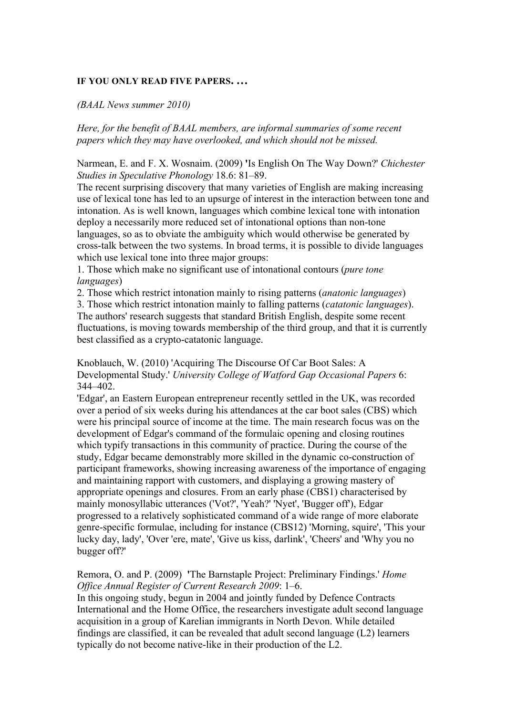## **IF YOU ONLY READ FIVE PAPERS. …**

*(BAAL News summer 2010)*

*Here, for the benefit of BAAL members, are informal summaries of some recent papers which they may have overlooked, and which should not be missed.*

Narmean, E. and F. X. Wosnaim. (2009) **'**Is English On The Way Down?' *Chichester Studies in Speculative Phonology* 18.6: 81–89.

The recent surprising discovery that many varieties of English are making increasing use of lexical tone has led to an upsurge of interest in the interaction between tone and intonation. As is well known, languages which combine lexical tone with intonation deploy a necessarily more reduced set of intonational options than non-tone languages, so as to obviate the ambiguity which would otherwise be generated by cross-talk between the two systems. In broad terms, it is possible to divide languages which use lexical tone into three major groups:

1. Those which make no significant use of intonational contours (*pure tone languages*)

2. Those which restrict intonation mainly to rising patterns (*anatonic languages*)

3. Those which restrict intonation mainly to falling patterns (*catatonic languages*). The authors' research suggests that standard British English, despite some recent fluctuations, is moving towards membership of the third group, and that it is currently best classified as a crypto-catatonic language.

Knoblauch, W. (2010) 'Acquiring The Discourse Of Car Boot Sales: A Developmental Study.' *University College of Watford Gap Occasional Papers* 6: 344–402.

'Edgar', an Eastern European entrepreneur recently settled in the UK, was recorded over a period of six weeks during his attendances at the car boot sales (CBS) which were his principal source of income at the time. The main research focus was on the development of Edgar's command of the formulaic opening and closing routines which typify transactions in this community of practice. During the course of the study, Edgar became demonstrably more skilled in the dynamic co-construction of participant frameworks, showing increasing awareness of the importance of engaging and maintaining rapport with customers, and displaying a growing mastery of appropriate openings and closures. From an early phase (CBS1) characterised by mainly monosyllabic utterances ('Vot?', 'Yeah?' 'Nyet', 'Bugger off'), Edgar progressed to a relatively sophisticated command of a wide range of more elaborate genre-specific formulae, including for instance (CBS12) 'Morning, squire', 'This your lucky day, lady', 'Over 'ere, mate', 'Give us kiss, darlink', 'Cheers' and 'Why you no bugger off?'

Remora, O. and P. (2009) **'**The Barnstaple Project: Preliminary Findings.' *Home Office Annual Register of Current Research 2009*: 1–6.

In this ongoing study, begun in 2004 and jointly funded by Defence Contracts International and the Home Office, the researchers investigate adult second language acquisition in a group of Karelian immigrants in North Devon. While detailed findings are classified, it can be revealed that adult second language (L2) learners typically do not become native-like in their production of the L2.